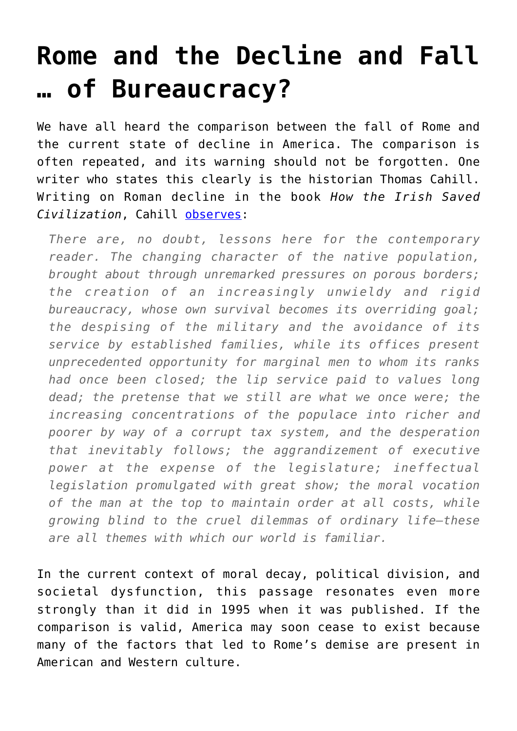## **[Rome and the Decline and Fall](https://intellectualtakeout.org/2018/07/rome-and-the-decline-and-fall-of-bureaucracy/) [… of Bureaucracy?](https://intellectualtakeout.org/2018/07/rome-and-the-decline-and-fall-of-bureaucracy/)**

We have all heard the comparison between the fall of Rome and the current state of decline in America. The comparison is often repeated, and its warning should not be forgotten. One writer who states this clearly is the historian Thomas Cahill. Writing on Roman decline in the book *How the Irish Saved Civilization*, Cahill [observes](https://www.amazon.com/gp/product/0385418493/ref=as_li_qf_asin_il_tl?ie=UTF8&tag=intelltakeo0d-20&creative=9325&linkCode=as2&creativeASIN=0385418493&linkId=c0f6c495913aaf755819c00a1bfbc929):

*There are, no doubt, lessons here for the contemporary reader. The changing character of the native population, brought about through unremarked pressures on porous borders; the creation of an increasingly unwieldy and rigid bureaucracy, whose own survival becomes its overriding goal; the despising of the military and the avoidance of its service by established families, while its offices present unprecedented opportunity for marginal men to whom its ranks had once been closed; the lip service paid to values long dead; the pretense that we still are what we once were; the increasing concentrations of the populace into richer and poorer by way of a corrupt tax system, and the desperation that inevitably follows; the aggrandizement of executive power at the expense of the legislature; ineffectual legislation promulgated with great show; the moral vocation of the man at the top to maintain order at all costs, while growing blind to the cruel dilemmas of ordinary life—these are all themes with which our world is familiar.*

In the current context of moral decay, political division, and societal dysfunction, this passage resonates even more strongly than it did in 1995 when it was published. If the comparison is valid, America may soon cease to exist because many of the factors that led to Rome's demise are present in American and Western culture.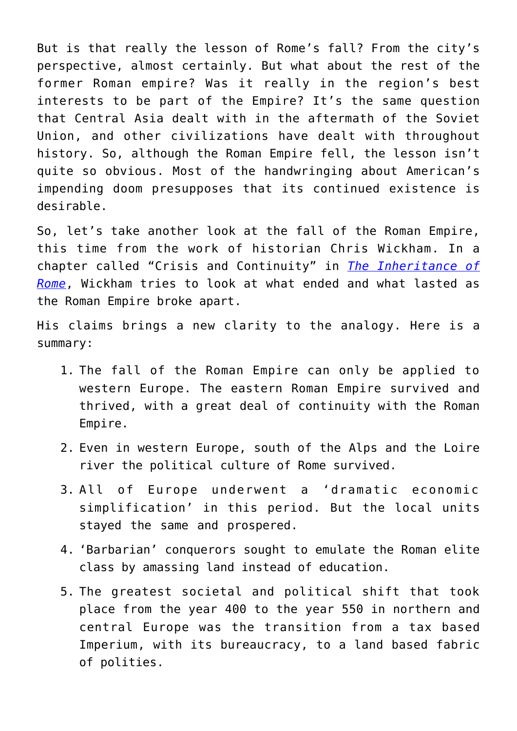But is that really the lesson of Rome's fall? From the city's perspective, almost certainly. But what about the rest of the former Roman empire? Was it really in the region's best interests to be part of the Empire? It's the same question that Central Asia dealt with in the aftermath of the Soviet Union, and other civilizations have dealt with throughout history. So, although the Roman Empire fell, the lesson isn't quite so obvious. Most of the handwringing about American's impending doom presupposes that its continued existence is desirable.

So, let's take another look at the fall of the Roman Empire, this time from the work of historian Chris Wickham. In a chapter called "Crisis and Continuity" in *[The Inheritance of](https://amzn.to/2Nuae9b) [Rome](https://amzn.to/2Nuae9b)*, Wickham tries to look at what ended and what lasted as the Roman Empire broke apart.

His claims brings a new clarity to the analogy. Here is a summary:

- 1. The fall of the Roman Empire can only be applied to western Europe. The eastern Roman Empire survived and thrived, with a great deal of continuity with the Roman Empire.
- 2. Even in western Europe, south of the Alps and the Loire river the political culture of Rome survived.
- 3. All of Europe underwent a 'dramatic economic simplification' in this period. But the local units stayed the same and prospered.
- 4. 'Barbarian' conquerors sought to emulate the Roman elite class by amassing land instead of education.
- 5. The greatest societal and political shift that took place from the year 400 to the year 550 in northern and central Europe was the transition from a tax based Imperium, with its bureaucracy, to a land based fabric of polities.